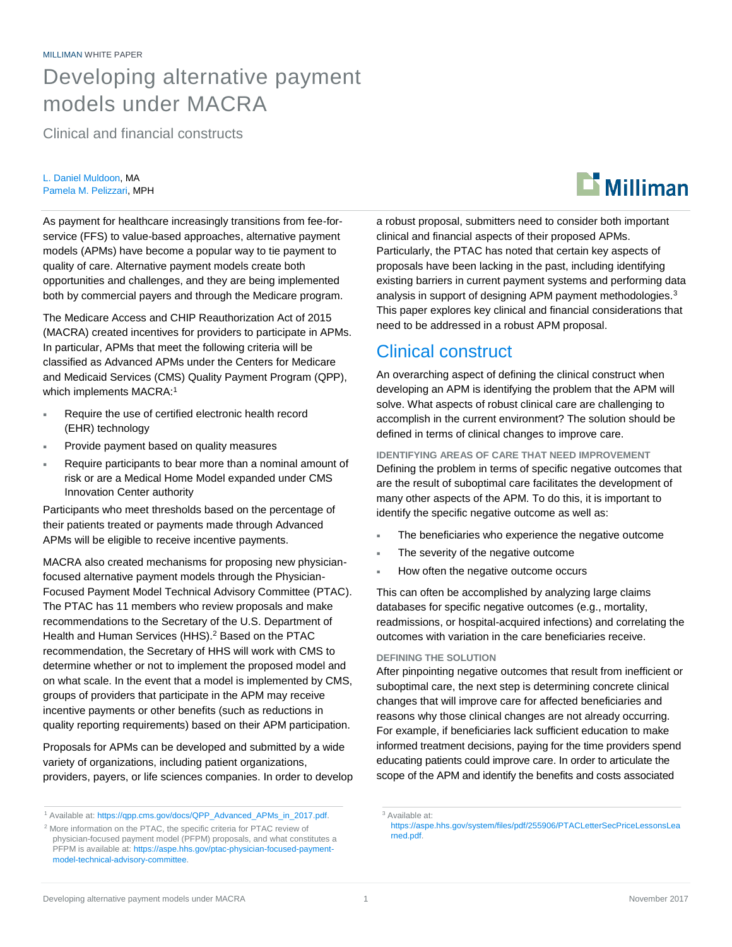## Developing alternative payment models under MACRA

Clinical and financial constructs

#### L. Daniel Muldoon, MA Pamela M. Pelizzari, MPH

As payment for healthcare increasingly transitions from fee-forservice (FFS) to value-based approaches, alternative payment models (APMs) have become a popular way to tie payment to quality of care. Alternative payment models create both opportunities and challenges, and they are being implemented both by commercial payers and through the Medicare program.

The Medicare Access and CHIP Reauthorization Act of 2015 (MACRA) created incentives for providers to participate in APMs. In particular, APMs that meet the following criteria will be classified as Advanced APMs under the Centers for Medicare and Medicaid Services (CMS) Quality Payment Program (QPP), which implements MACRA:<sup>1</sup>

- Require the use of certified electronic health record (EHR) technology
- Provide payment based on quality measures
- Require participants to bear more than a nominal amount of risk or are a Medical Home Model expanded under CMS Innovation Center authority

Participants who meet thresholds based on the percentage of their patients treated or payments made through Advanced APMs will be eligible to receive incentive payments.

MACRA also created mechanisms for proposing new physicianfocused alternative payment models through the Physician-Focused Payment Model Technical Advisory Committee (PTAC). The PTAC has 11 members who review proposals and make recommendations to the Secretary of the U.S. Department of Health and Human Services (HHS).<sup>2</sup> Based on the PTAC recommendation, the Secretary of HHS will work with CMS to determine whether or not to implement the proposed model and on what scale. In the event that a model is implemented by CMS, groups of providers that participate in the APM may receive incentive payments or other benefits (such as reductions in quality reporting requirements) based on their APM participation.

Proposals for APMs can be developed and submitted by a wide variety of organizations, including patient organizations, providers, payers, or life sciences companies. In order to develop a robust proposal, submitters need to consider both important clinical and financial aspects of their proposed APMs. Particularly, the PTAC has noted that certain key aspects of proposals have been lacking in the past, including identifying existing barriers in current payment systems and performing data analysis in support of designing APM payment methodologies.<sup>3</sup> This paper explores key clinical and financial considerations that need to be addressed in a robust APM proposal.

## Clinical construct

An overarching aspect of defining the clinical construct when developing an APM is identifying the problem that the APM will solve. What aspects of robust clinical care are challenging to accomplish in the current environment? The solution should be defined in terms of clinical changes to improve care.

#### **IDENTIFYING AREAS OF CARE THAT NEED IMPROVEMENT**

Defining the problem in terms of specific negative outcomes that are the result of suboptimal care facilitates the development of many other aspects of the APM. To do this, it is important to identify the specific negative outcome as well as:

- The beneficiaries who experience the negative outcome
- The severity of the negative outcome
- How often the negative outcome occurs

This can often be accomplished by analyzing large claims databases for specific negative outcomes (e.g., mortality, readmissions, or hospital-acquired infections) and correlating the outcomes with variation in the care beneficiaries receive.

#### **DEFINING THE SOLUTION**

After pinpointing negative outcomes that result from inefficient or suboptimal care, the next step is determining concrete clinical changes that will improve care for affected beneficiaries and reasons why those clinical changes are not already occurring. For example, if beneficiaries lack sufficient education to make informed treatment decisions, paying for the time providers spend educating patients could improve care. In order to articulate the scope of the APM and identify the benefits and costs associated



<sup>&</sup>lt;sup>1</sup> Available at: [https://qpp.cms.gov/docs/QPP\\_Advanced\\_APMs\\_in\\_2017.pdf.](https://qpp.cms.gov/docs/QPP_Advanced_APMs_in_2017.pdf)

<sup>2</sup> More information on the PTAC, the specific criteria for PTAC review of physician-focused payment model (PFPM) proposals, and what constitutes a PFPM is available at: https://aspe.hhs.gov/ptac-physician-focused-paymentmodel-technical-advisory-committee.

<sup>3</sup> Available at:

https://aspe.hhs.gov/system/files/pdf/255906/PTACLetterSecPriceLessonsLea rned.pdf.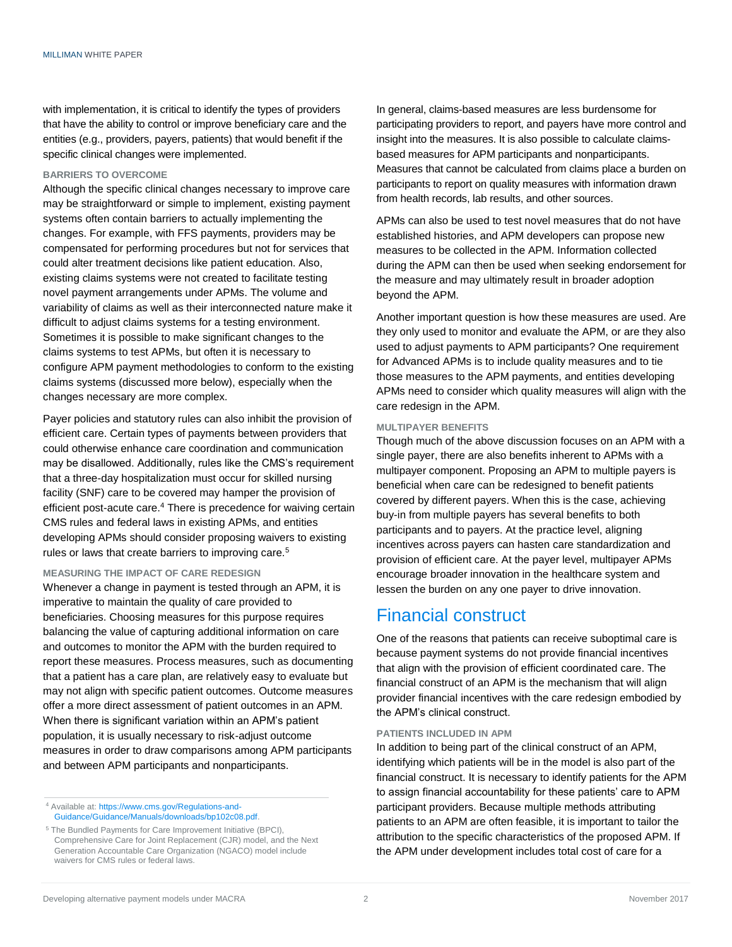with implementation, it is critical to identify the types of providers that have the ability to control or improve beneficiary care and the entities (e.g., providers, payers, patients) that would benefit if the specific clinical changes were implemented.

#### **BARRIERS TO OVERCOME**

Although the specific clinical changes necessary to improve care may be straightforward or simple to implement, existing payment systems often contain barriers to actually implementing the changes. For example, with FFS payments, providers may be compensated for performing procedures but not for services that could alter treatment decisions like patient education. Also, existing claims systems were not created to facilitate testing novel payment arrangements under APMs. The volume and variability of claims as well as their interconnected nature make it difficult to adjust claims systems for a testing environment. Sometimes it is possible to make significant changes to the claims systems to test APMs, but often it is necessary to configure APM payment methodologies to conform to the existing claims systems (discussed more below), especially when the changes necessary are more complex.

Payer policies and statutory rules can also inhibit the provision of efficient care. Certain types of payments between providers that could otherwise enhance care coordination and communication may be disallowed. Additionally, rules like the CMS's requirement that a three-day hospitalization must occur for skilled nursing facility (SNF) care to be covered may hamper the provision of efficient post-acute care.<sup>4</sup> There is precedence for waiving certain CMS rules and federal laws in existing APMs, and entities developing APMs should consider proposing waivers to existing rules or laws that create barriers to improving care.<sup>5</sup>

#### **MEASURING THE IMPACT OF CARE REDESIGN**

Whenever a change in payment is tested through an APM, it is imperative to maintain the quality of care provided to beneficiaries. Choosing measures for this purpose requires balancing the value of capturing additional information on care and outcomes to monitor the APM with the burden required to report these measures. Process measures, such as documenting that a patient has a care plan, are relatively easy to evaluate but may not align with specific patient outcomes. Outcome measures offer a more direct assessment of patient outcomes in an APM. When there is significant variation within an APM's patient population, it is usually necessary to risk-adjust outcome measures in order to draw comparisons among APM participants and between APM participants and nonparticipants.

<sup>4</sup> Available at: [https://www.cms.gov/Regulations-and-](https://www.cms.gov/Regulations-and-Guidance/Guidance/Manuals/downloads/bp102c08.pdf)[Guidance/Guidance/Manuals/downloads/bp102c08.pdf.](https://www.cms.gov/Regulations-and-Guidance/Guidance/Manuals/downloads/bp102c08.pdf) In general, claims-based measures are less burdensome for participating providers to report, and payers have more control and insight into the measures. It is also possible to calculate claimsbased measures for APM participants and nonparticipants. Measures that cannot be calculated from claims place a burden on participants to report on quality measures with information drawn from health records, lab results, and other sources.

APMs can also be used to test novel measures that do not have established histories, and APM developers can propose new measures to be collected in the APM. Information collected during the APM can then be used when seeking endorsement for the measure and may ultimately result in broader adoption beyond the APM.

Another important question is how these measures are used. Are they only used to monitor and evaluate the APM, or are they also used to adjust payments to APM participants? One requirement for Advanced APMs is to include quality measures and to tie those measures to the APM payments, and entities developing APMs need to consider which quality measures will align with the care redesign in the APM.

#### **MULTIPAYER BENEFITS**

Though much of the above discussion focuses on an APM with a single payer, there are also benefits inherent to APMs with a multipayer component. Proposing an APM to multiple payers is beneficial when care can be redesigned to benefit patients covered by different payers. When this is the case, achieving buy-in from multiple payers has several benefits to both participants and to payers. At the practice level, aligning incentives across payers can hasten care standardization and provision of efficient care. At the payer level, multipayer APMs encourage broader innovation in the healthcare system and lessen the burden on any one payer to drive innovation.

## Financial construct

One of the reasons that patients can receive suboptimal care is because payment systems do not provide financial incentives that align with the provision of efficient coordinated care. The financial construct of an APM is the mechanism that will align provider financial incentives with the care redesign embodied by the APM's clinical construct.

#### **PATIENTS INCLUDED IN APM**

In addition to being part of the clinical construct of an APM, identifying which patients will be in the model is also part of the financial construct. It is necessary to identify patients for the APM to assign financial accountability for these patients' care to APM participant providers. Because multiple methods attributing patients to an APM are often feasible, it is important to tailor the attribution to the specific characteristics of the proposed APM. If the APM under development includes total cost of care for a

<sup>5</sup> The Bundled Payments for Care Improvement Initiative (BPCI), Comprehensive Care for Joint Replacement (CJR) model, and the Next Generation Accountable Care Organization (NGACO) model include waivers for CMS rules or federal laws.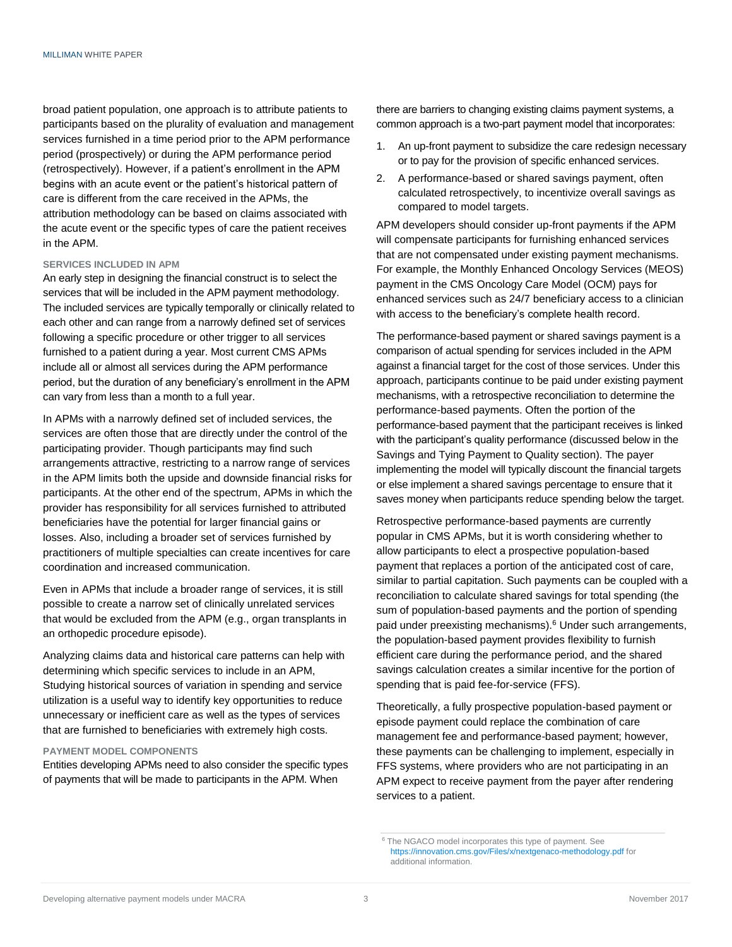broad patient population, one approach is to attribute patients to participants based on the plurality of evaluation and management services furnished in a time period prior to the APM performance period (prospectively) or during the APM performance period (retrospectively). However, if a patient's enrollment in the APM begins with an acute event or the patient's historical pattern of care is different from the care received in the APMs, the attribution methodology can be based on claims associated with the acute event or the specific types of care the patient receives in the APM.

#### **SERVICES INCLUDED IN APM**

An early step in designing the financial construct is to select the services that will be included in the APM payment methodology. The included services are typically temporally or clinically related to each other and can range from a narrowly defined set of services following a specific procedure or other trigger to all services furnished to a patient during a year. Most current CMS APMs include all or almost all services during the APM performance period, but the duration of any beneficiary's enrollment in the APM can vary from less than a month to a full year.

In APMs with a narrowly defined set of included services, the services are often those that are directly under the control of the participating provider. Though participants may find such arrangements attractive, restricting to a narrow range of services in the APM limits both the upside and downside financial risks for participants. At the other end of the spectrum, APMs in which the provider has responsibility for all services furnished to attributed beneficiaries have the potential for larger financial gains or losses. Also, including a broader set of services furnished by practitioners of multiple specialties can create incentives for care coordination and increased communication.

Even in APMs that include a broader range of services, it is still possible to create a narrow set of clinically unrelated services that would be excluded from the APM (e.g., organ transplants in an orthopedic procedure episode).

Analyzing claims data and historical care patterns can help with determining which specific services to include in an APM, Studying historical sources of variation in spending and service utilization is a useful way to identify key opportunities to reduce unnecessary or inefficient care as well as the types of services that are furnished to beneficiaries with extremely high costs.

#### **PAYMENT MODEL COMPONENTS**

Entities developing APMs need to also consider the specific types of payments that will be made to participants in the APM. When

there are barriers to changing existing claims payment systems, a common approach is a two-part payment model that incorporates:

- 1. An up-front payment to subsidize the care redesign necessary or to pay for the provision of specific enhanced services.
- 2. A performance-based or shared savings payment, often calculated retrospectively, to incentivize overall savings as compared to model targets.

APM developers should consider up-front payments if the APM will compensate participants for furnishing enhanced services that are not compensated under existing payment mechanisms. For example, the Monthly Enhanced Oncology Services (MEOS) payment in the CMS Oncology Care Model (OCM) pays for enhanced services such as 24/7 beneficiary access to a clinician with access to the beneficiary's complete health record.

The performance-based payment or shared savings payment is a comparison of actual spending for services included in the APM against a financial target for the cost of those services. Under this approach, participants continue to be paid under existing payment mechanisms, with a retrospective reconciliation to determine the performance-based payments. Often the portion of the performance-based payment that the participant receives is linked with the participant's quality performance (discussed below in the Savings and Tying Payment to Quality section). The payer implementing the model will typically discount the financial targets or else implement a shared savings percentage to ensure that it saves money when participants reduce spending below the target.

Retrospective performance-based payments are currently popular in CMS APMs, but it is worth considering whether to allow participants to elect a prospective population-based payment that replaces a portion of the anticipated cost of care, similar to partial capitation. Such payments can be coupled with a reconciliation to calculate shared savings for total spending (the sum of population-based payments and the portion of spending paid under preexisting mechanisms).<sup>6</sup> Under such arrangements, the population-based payment provides flexibility to furnish efficient care during the performance period, and the shared savings calculation creates a similar incentive for the portion of spending that is paid fee-for-service (FFS).

Theoretically, a fully prospective population-based payment or episode payment could replace the combination of care management fee and performance-based payment; however, these payments can be challenging to implement, especially in FFS systems, where providers who are not participating in an APM expect to receive payment from the payer after rendering services to a patient.

<sup>6</sup> The NGACO model incorporates this type of payment. See https://innovation.cms.gov/Files/x/nextgenaco-methodology.pdf for additional information.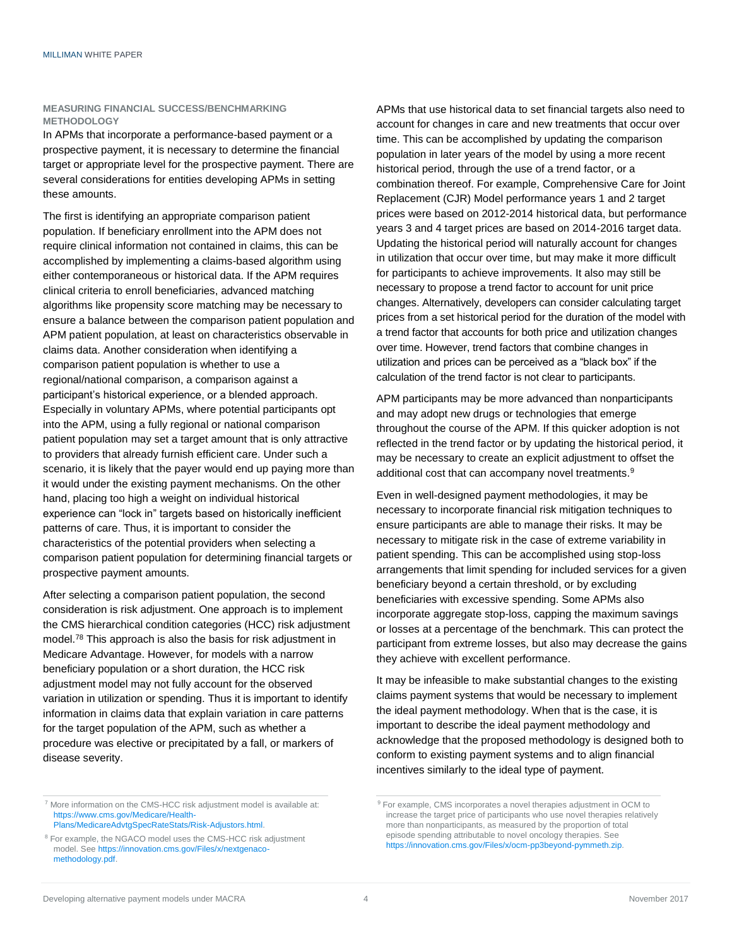#### **MEASURING FINANCIAL SUCCESS/BENCHMARKING METHODOLOGY**

In APMs that incorporate a performance-based payment or a prospective payment, it is necessary to determine the financial target or appropriate level for the prospective payment. There are several considerations for entities developing APMs in setting these amounts.

The first is identifying an appropriate comparison patient population. If beneficiary enrollment into the APM does not require clinical information not contained in claims, this can be accomplished by implementing a claims-based algorithm using either contemporaneous or historical data. If the APM requires clinical criteria to enroll beneficiaries, advanced matching algorithms like propensity score matching may be necessary to ensure a balance between the comparison patient population and APM patient population, at least on characteristics observable in claims data. Another consideration when identifying a comparison patient population is whether to use a regional/national comparison, a comparison against a participant's historical experience, or a blended approach. Especially in voluntary APMs, where potential participants opt into the APM, using a fully regional or national comparison patient population may set a target amount that is only attractive to providers that already furnish efficient care. Under such a scenario, it is likely that the payer would end up paying more than it would under the existing payment mechanisms. On the other hand, placing too high a weight on individual historical experience can "lock in" targets based on historically inefficient patterns of care. Thus, it is important to consider the characteristics of the potential providers when selecting a comparison patient population for determining financial targets or prospective payment amounts.

After selecting a comparison patient population, the second consideration is risk adjustment. One approach is to implement the CMS hierarchical condition categories (HCC) risk adjustment model.<sup>78</sup> This approach is also the basis for risk adjustment in Medicare Advantage. However, for models with a narrow beneficiary population or a short duration, the HCC risk adjustment model may not fully account for the observed variation in utilization or spending. Thus it is important to identify information in claims data that explain variation in care patterns for the target population of the APM, such as whether a procedure was elective or precipitated by a fall, or markers of disease severity.

APMs that use historical data to set financial targets also need to account for changes in care and new treatments that occur over time. This can be accomplished by updating the comparison population in later years of the model by using a more recent historical period, through the use of a trend factor, or a combination thereof. For example, Comprehensive Care for Joint Replacement (CJR) Model performance years 1 and 2 target prices were based on 2012-2014 historical data, but performance years 3 and 4 target prices are based on 2014-2016 target data. Updating the historical period will naturally account for changes in utilization that occur over time, but may make it more difficult for participants to achieve improvements. It also may still be necessary to propose a trend factor to account for unit price changes. Alternatively, developers can consider calculating target prices from a set historical period for the duration of the model with a trend factor that accounts for both price and utilization changes over time. However, trend factors that combine changes in utilization and prices can be perceived as a "black box" if the calculation of the trend factor is not clear to participants.

APM participants may be more advanced than nonparticipants and may adopt new drugs or technologies that emerge throughout the course of the APM. If this quicker adoption is not reflected in the trend factor or by updating the historical period, it may be necessary to create an explicit adjustment to offset the additional cost that can accompany novel treatments.<sup>9</sup>

Even in well-designed payment methodologies, it may be necessary to incorporate financial risk mitigation techniques to ensure participants are able to manage their risks. It may be necessary to mitigate risk in the case of extreme variability in patient spending. This can be accomplished using stop-loss arrangements that limit spending for included services for a given beneficiary beyond a certain threshold, or by excluding beneficiaries with excessive spending. Some APMs also incorporate aggregate stop-loss, capping the maximum savings or losses at a percentage of the benchmark. This can protect the participant from extreme losses, but also may decrease the gains they achieve with excellent performance.

It may be infeasible to make substantial changes to the existing claims payment systems that would be necessary to implement the ideal payment methodology. When that is the case, it is important to describe the ideal payment methodology and acknowledge that the proposed methodology is designed both to conform to existing payment systems and to align financial incentives similarly to the ideal type of payment.

<sup>7</sup> More information on the CMS-HCC risk adjustment model is available at: [https://www.cms.gov/Medicare/Health-](https://www.cms.gov/Medicare/Health-Plans/MedicareAdvtgSpecRateStats/Risk-Adjustors.html)[Plans/MedicareAdvtgSpecRateStats/Risk-Adjustors.html.](https://www.cms.gov/Medicare/Health-Plans/MedicareAdvtgSpecRateStats/Risk-Adjustors.html)

<sup>8</sup> For example, the NGACO model uses the CMS-HCC risk adjustment model. See https://innovation.cms.gov/Files/x/nextgenacomethodology.pdf.

<sup>9</sup> For example, CMS incorporates a novel therapies adjustment in OCM to increase the target price of participants who use novel therapies relatively more than nonparticipants, as measured by the proportion of total episode spending attributable to novel oncology therapies. See [https://innovation.cms.gov/Files/x/ocm-pp3beyond-pymmeth.zip.](https://innovation.cms.gov/Files/x/ocm-pp3beyond-pymmeth.zip)